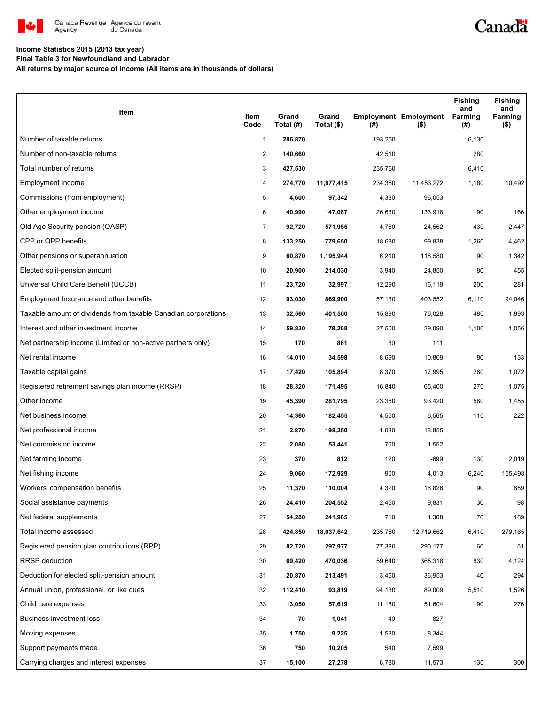

# Canadä

### **Income Statistics 2015 (2013 tax year)**

**Final Table 3 for Newfoundland and Labrador**

**All returns by major source of income (All items are in thousands of dollars)**

| Item                                                           | Item<br>Code   | Grand<br>Total (#) | Grand<br>Total (\$) | (#)     | <b>Employment Employment</b><br>$($ \$) | <b>Fishing</b><br>and<br><b>Farming</b><br>(#) | <b>Fishing</b><br>and<br>Farming<br>$($ \$) |
|----------------------------------------------------------------|----------------|--------------------|---------------------|---------|-----------------------------------------|------------------------------------------------|---------------------------------------------|
| Number of taxable returns                                      | $\mathbf{1}$   | 286,870            |                     | 193,250 |                                         | 6,130                                          |                                             |
| Number of non-taxable returns                                  | 2              | 140,660            |                     | 42,510  |                                         | 280                                            |                                             |
| Total number of returns                                        | 3              | 427,530            |                     | 235,760 |                                         | 6,410                                          |                                             |
| Employment income                                              | 4              | 274,770            | 11,877,415          | 234,380 | 11,453,272                              | 1,180                                          | 10,492                                      |
| Commissions (from employment)                                  | 5              | 4,600              | 97,342              | 4,330   | 96,053                                  |                                                |                                             |
| Other employment income                                        | 6              | 40,990             | 147,087             | 26,630  | 133,918                                 | 90                                             | 166                                         |
| Old Age Security pension (OASP)                                | $\overline{7}$ | 92,720             | 571,955             | 4,760   | 24,562                                  | 430                                            | 2,447                                       |
| CPP or QPP benefits                                            | 8              | 133,250            | 779,650             | 18,680  | 99,838                                  | 1,260                                          | 4,462                                       |
| Other pensions or superannuation                               | 9              | 60,870             | 1,195,944           | 6,210   | 118,580                                 | 90                                             | 1,342                                       |
| Elected split-pension amount                                   | 10             | 20,900             | 214,030             | 3,940   | 24,850                                  | 80                                             | 455                                         |
| Universal Child Care Benefit (UCCB)                            | 11             | 23,720             | 32,997              | 12,290  | 16,119                                  | 200                                            | 281                                         |
| Employment Insurance and other benefits                        | 12             | 93,030             | 869,900             | 57,130  | 403,552                                 | 6,110                                          | 94,046                                      |
| Taxable amount of dividends from taxable Canadian corporations | 13             | 32,560             | 401,560             | 15,890  | 76,028                                  | 480                                            | 1,993                                       |
| Interest and other investment income                           | 14             | 59,830             | 79,268              | 27,500  | 29,090                                  | 1,100                                          | 1,056                                       |
| Net partnership income (Limited or non-active partners only)   | 15             | 170                | 861                 | 80      | 111                                     |                                                |                                             |
| Net rental income                                              | 16             | 14,010             | 34,598              | 8,690   | 10,809                                  | 80                                             | 133                                         |
| Taxable capital gains                                          | 17             | 17,420             | 105,894             | 8,370   | 17,995                                  | 260                                            | 1,072                                       |
| Registered retirement savings plan income (RRSP)               | 18             | 28,320             | 171,495             | 16,840  | 65,400                                  | 270                                            | 1,075                                       |
| Other income                                                   | 19             | 45,390             | 281,795             | 23,380  | 93,420                                  | 580                                            | 1,455                                       |
| Net business income                                            | 20             | 14,360             | 182,455             | 4,560   | 6,565                                   | 110                                            | 222                                         |
| Net professional income                                        | 21             | 2,870              | 198,250             | 1,030   | 13,855                                  |                                                |                                             |
| Net commission income                                          | 22             | 2,080              | 53,441              | 700     | 1,552                                   |                                                |                                             |
| Net farming income                                             | 23             | 370                | 812                 | 120     | $-699$                                  | 130                                            | 2,019                                       |
| Net fishing income                                             | 24             | 9,060              | 172,929             | 900     | 4,013                                   | 6,240                                          | 155,498                                     |
| Workers' compensation benefits                                 | 25             | 11,370             | 110,004             | 4,320   | 16,826                                  | 90                                             | 659                                         |
| Social assistance payments                                     | 26             | 24,410             | 204,552             | 2,460   | 9,831                                   | 30                                             | 98                                          |
| Net federal supplements                                        | 27             | 54,280             | 241,985             | 710     | 1,308                                   | 70                                             | 189                                         |
| Total income assessed                                          | 28             | 424,850            | 18,037,642          | 235,760 | 12,719,662                              | 6,410                                          | 279,165                                     |
| Registered pension plan contributions (RPP)                    | 29             | 82,720             | 297,977             | 77,380  | 290,177                                 | 60                                             | 51                                          |
| <b>RRSP</b> deduction                                          | 30             | 69,420             | 470,036             | 59,640  | 365,318                                 | 830                                            | 4,124                                       |
| Deduction for elected split-pension amount                     | 31             | 20,870             | 213,491             | 3,460   | 36,953                                  | 40                                             | 294                                         |
| Annual union, professional, or like dues                       | 32             | 112,410            | 93,819              | 94,130  | 89,009                                  | 5,510                                          | 1,526                                       |
| Child care expenses                                            | 33             | 13,050             | 57,619              | 11,180  | 51,604                                  | 90                                             | 276                                         |
| Business investment loss                                       | 34             | 70                 | 1,041               | 40      | 827                                     |                                                |                                             |
| Moving expenses                                                | 35             | 1,750              | 9,225               | 1,530   | 8,344                                   |                                                |                                             |
| Support payments made                                          | 36             | 750                | 10,205              | 540     | 7,599                                   |                                                |                                             |
| Carrying charges and interest expenses                         | 37             | 15,100             | 27,278              | 6,780   | 11,573                                  | 130                                            | 300                                         |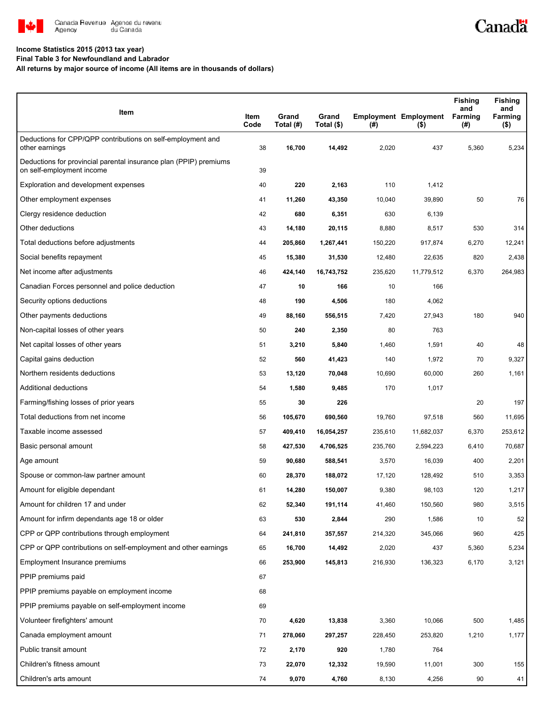

#### **Income Statistics 2015 (2013 tax year)**

**Final Table 3 for Newfoundland and Labrador**

**All returns by major source of income (All items are in thousands of dollars)**

| Item                                                                                           | Item<br>Code | Grand<br>Total (#) | Grand<br>Total (\$) | (#)     | <b>Employment Employment</b><br>$($ \$) | <b>Fishing</b><br>and<br><b>Farming</b><br>(#) | <b>Fishing</b><br>and<br>Farming<br>( \$) |
|------------------------------------------------------------------------------------------------|--------------|--------------------|---------------------|---------|-----------------------------------------|------------------------------------------------|-------------------------------------------|
| Deductions for CPP/QPP contributions on self-employment and<br>other earnings                  | 38           | 16,700             | 14,492              | 2,020   | 437                                     | 5,360                                          | 5,234                                     |
| Deductions for provincial parental insurance plan (PPIP) premiums<br>on self-employment income | 39           |                    |                     |         |                                         |                                                |                                           |
| Exploration and development expenses                                                           | 40           | 220                | 2,163               | 110     | 1,412                                   |                                                |                                           |
| Other employment expenses                                                                      | 41           | 11,260             | 43,350              | 10,040  | 39,890                                  | 50                                             | 76                                        |
| Clergy residence deduction                                                                     | 42           | 680                | 6,351               | 630     | 6,139                                   |                                                |                                           |
| Other deductions                                                                               | 43           | 14,180             | 20,115              | 8,880   | 8,517                                   | 530                                            | 314                                       |
| Total deductions before adjustments                                                            | 44           | 205,860            | 1,267,441           | 150,220 | 917,874                                 | 6,270                                          | 12,241                                    |
| Social benefits repayment                                                                      | 45           | 15,380             | 31,530              | 12,480  | 22,635                                  | 820                                            | 2,438                                     |
| Net income after adjustments                                                                   | 46           | 424,140            | 16,743,752          | 235,620 | 11,779,512                              | 6,370                                          | 264,983                                   |
| Canadian Forces personnel and police deduction                                                 | 47           | 10                 | 166                 | 10      | 166                                     |                                                |                                           |
| Security options deductions                                                                    | 48           | 190                | 4,506               | 180     | 4,062                                   |                                                |                                           |
| Other payments deductions                                                                      | 49           | 88,160             | 556,515             | 7,420   | 27,943                                  | 180                                            | 940                                       |
| Non-capital losses of other years                                                              | 50           | 240                | 2,350               | 80      | 763                                     |                                                |                                           |
| Net capital losses of other years                                                              | 51           | 3,210              | 5,840               | 1,460   | 1,591                                   | 40                                             | 48                                        |
| Capital gains deduction                                                                        | 52           | 560                | 41,423              | 140     | 1,972                                   | 70                                             | 9,327                                     |
| Northern residents deductions                                                                  | 53           | 13,120             | 70,048              | 10,690  | 60,000                                  | 260                                            | 1,161                                     |
| Additional deductions                                                                          | 54           | 1,580              | 9,485               | 170     | 1,017                                   |                                                |                                           |
| Farming/fishing losses of prior years                                                          | 55           | 30                 | 226                 |         |                                         | 20                                             | 197                                       |
| Total deductions from net income                                                               | 56           | 105,670            | 690,560             | 19,760  | 97,518                                  | 560                                            | 11,695                                    |
| Taxable income assessed                                                                        | 57           | 409,410            | 16,054,257          | 235,610 | 11,682,037                              | 6,370                                          | 253,612                                   |
| Basic personal amount                                                                          | 58           | 427,530            | 4,706,525           | 235,760 | 2,594,223                               | 6,410                                          | 70,687                                    |
| Age amount                                                                                     | 59           | 90,680             | 588,541             | 3,570   | 16,039                                  | 400                                            | 2,201                                     |
| Spouse or common-law partner amount                                                            | 60           | 28,370             | 188,072             | 17,120  | 128,492                                 | 510                                            | 3,353                                     |
| Amount for eligible dependant                                                                  | 61           | 14,280             | 150,007             | 9,380   | 98,103                                  | 120                                            | 1,217                                     |
| Amount for children 17 and under                                                               | 62           | 52,340             | 191,114             | 41,460  | 150,560                                 | 980                                            | 3,515                                     |
| Amount for infirm dependants age 18 or older                                                   | 63           | 530                | 2,844               | 290     | 1,586                                   | 10                                             | 52                                        |
| CPP or QPP contributions through employment                                                    | 64           | 241,810            | 357,557             | 214,320 | 345,066                                 | 960                                            | 425                                       |
| CPP or QPP contributions on self-employment and other earnings                                 | 65           | 16,700             | 14,492              | 2,020   | 437                                     | 5,360                                          | 5,234                                     |
| Employment Insurance premiums                                                                  | 66           | 253,900            | 145,813             | 216,930 | 136,323                                 | 6,170                                          | 3,121                                     |
| PPIP premiums paid                                                                             | 67           |                    |                     |         |                                         |                                                |                                           |
| PPIP premiums payable on employment income                                                     | 68           |                    |                     |         |                                         |                                                |                                           |
| PPIP premiums payable on self-employment income                                                | 69           |                    |                     |         |                                         |                                                |                                           |
| Volunteer firefighters' amount                                                                 | 70           | 4,620              | 13,838              | 3,360   | 10,066                                  | 500                                            | 1,485                                     |
| Canada employment amount                                                                       | 71           | 278,060            | 297,257             | 228,450 | 253,820                                 | 1,210                                          | 1,177                                     |
| Public transit amount                                                                          | 72           | 2,170              | 920                 | 1,780   | 764                                     |                                                |                                           |
| Children's fitness amount                                                                      | 73           | 22,070             | 12,332              | 19,590  | 11,001                                  | 300                                            | 155                                       |
| Children's arts amount                                                                         | 74           | 9,070              | 4,760               | 8,130   | 4,256                                   | 90                                             | 41                                        |

Canadä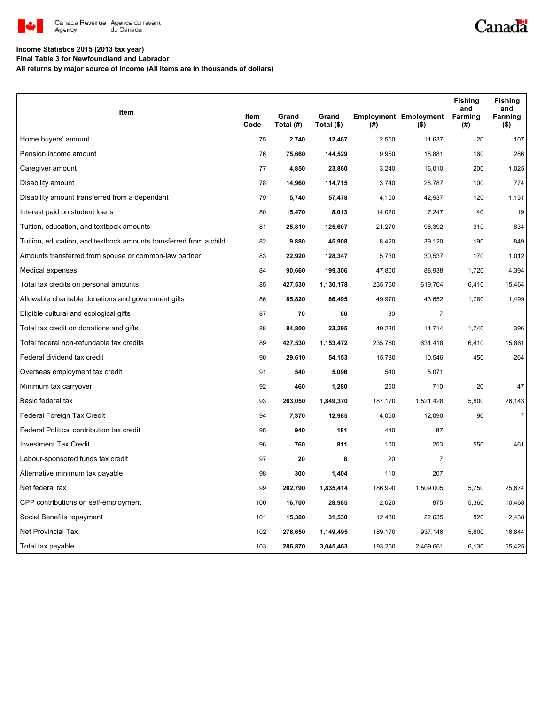

# Canadä

### **Income Statistics 2015 (2013 tax year)**

**Final Table 3 for Newfoundland and Labrador**

**All returns by major source of income (All items are in thousands of dollars)**

| Item                                                              | <b>Item</b> | Grand     | Grand      |         | <b>Employment Employment</b> | <b>Fishing</b><br>and<br>Farming | <b>Fishing</b><br>and<br>Farming |
|-------------------------------------------------------------------|-------------|-----------|------------|---------|------------------------------|----------------------------------|----------------------------------|
|                                                                   | Code        | Total (#) | Total (\$) | $($ #)  | $($ \$)                      | (#)                              | $($ \$)                          |
| Home buyers' amount                                               | 75          | 2,740     | 12,467     | 2,550   | 11,637                       | 20                               | 107                              |
| Pension income amount                                             | 76          | 75,660    | 144,529    | 9,950   | 18,881                       | 160                              | 286                              |
| Caregiver amount                                                  | 77          | 4,850     | 23,860     | 3,240   | 16,010                       | 200                              | 1,025                            |
| Disability amount                                                 | 78          | 14,960    | 114,715    | 3,740   | 28,787                       | 100                              | 774                              |
| Disability amount transferred from a dependant                    | 79          | 5,740     | 57,478     | 4,150   | 42,937                       | 120                              | 1,131                            |
| Interest paid on student loans                                    | 80          | 15,470    | 8,013      | 14,020  | 7,247                        | 40                               | 19                               |
| Tuition, education, and textbook amounts                          | 81          | 25,810    | 125,607    | 21,270  | 96,392                       | 310                              | 834                              |
| Tuition, education, and textbook amounts transferred from a child | 82          | 9,880     | 45,908     | 8,420   | 39,120                       | 190                              | 849                              |
| Amounts transferred from spouse or common-law partner             | 83          | 22,920    | 128,347    | 5,730   | 30,537                       | 170                              | 1,012                            |
| Medical expenses                                                  | 84          | 90,660    | 199,306    | 47,800  | 88,938                       | 1,720                            | 4,394                            |
| Total tax credits on personal amounts                             | 85          | 427,530   | 1,130,178  | 235,760 | 619,704                      | 6,410                            | 15,464                           |
| Allowable charitable donations and government gifts               | 86          | 85,820    | 86,495     | 49,970  | 43,652                       | 1,780                            | 1,499                            |
| Eligible cultural and ecological gifts                            | 87          | 70        | 66         | 30      | 7                            |                                  |                                  |
| Total tax credit on donations and gifts                           | 88          | 84,800    | 23,295     | 49,230  | 11,714                       | 1,740                            | 396                              |
| Total federal non-refundable tax credits                          | 89          | 427,530   | 1,153,472  | 235,760 | 631,418                      | 6,410                            | 15,861                           |
| Federal dividend tax credit                                       | 90          | 29,610    | 54,153     | 15,780  | 10,546                       | 450                              | 264                              |
| Overseas employment tax credit                                    | 91          | 540       | 5,096      | 540     | 5,071                        |                                  |                                  |
| Minimum tax carryover                                             | 92          | 460       | 1,280      | 250     | 710                          | 20                               | 47                               |
| Basic federal tax                                                 | 93          | 263,050   | 1,849,370  | 187,170 | 1,521,428                    | 5,800                            | 26,143                           |
| Federal Foreign Tax Credit                                        | 94          | 7,370     | 12,985     | 4,050   | 12,090                       | 90                               | $\boldsymbol{7}$                 |
| Federal Political contribution tax credit                         | 95          | 940       | 181        | 440     | 87                           |                                  |                                  |
| <b>Investment Tax Credit</b>                                      | 96          | 760       | 811        | 100     | 253                          | 550                              | 461                              |
| Labour-sponsored funds tax credit                                 | 97          | 20        | 8          | 20      | 7                            |                                  |                                  |
| Alternative minimum tax payable                                   | 98          | 300       | 1,404      | 110     | 207                          |                                  |                                  |
| Net federal tax                                                   | 99          | 262,790   | 1,835,414  | 186,990 | 1,509,005                    | 5,750                            | 25,674                           |
| CPP contributions on self-employment                              | 100         | 16,700    | 28,985     | 2,020   | 875                          | 5,360                            | 10,468                           |
| Social Benefits repayment                                         | 101         | 15,380    | 31,530     | 12,480  | 22,635                       | 820                              | 2,438                            |
| <b>Net Provincial Tax</b>                                         | 102         | 278,650   | 1,149,495  | 189,170 | 937,146                      | 5,800                            | 16,844                           |
| Total tax payable                                                 | 103         | 286,870   | 3,045,463  | 193,250 | 2,469,661                    | 6,130                            | 55,425                           |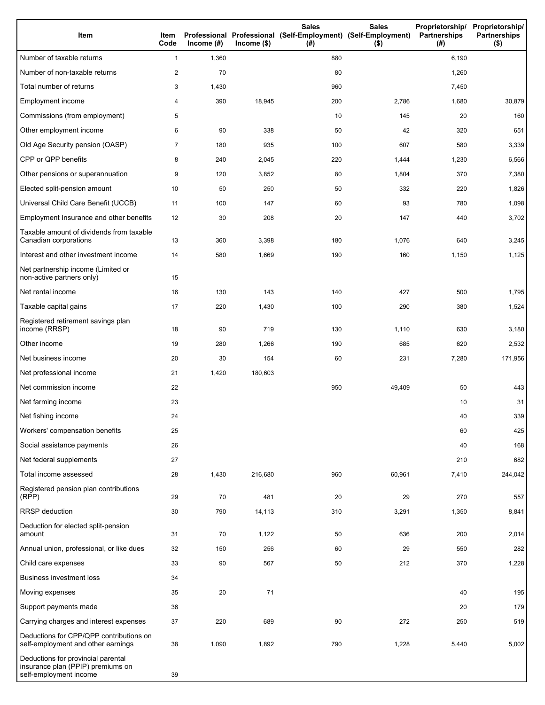| Item                                                                                              | Item<br>Code   | Income $(#)$ | $lncome$ (\$) | <b>Sales</b><br>Professional Professional (Self-Employment) (Self-Employment)<br>(# ) | <b>Sales</b><br>$($ \$) | Proprietorship/ Proprietorship/<br>Partnerships<br>(# ) | <b>Partnerships</b><br>$($ \$) |
|---------------------------------------------------------------------------------------------------|----------------|--------------|---------------|---------------------------------------------------------------------------------------|-------------------------|---------------------------------------------------------|--------------------------------|
| Number of taxable returns                                                                         | $\mathbf{1}$   | 1,360        |               | 880                                                                                   |                         | 6,190                                                   |                                |
| Number of non-taxable returns                                                                     | $\overline{2}$ | 70           |               | 80                                                                                    |                         | 1,260                                                   |                                |
| Total number of returns                                                                           | 3              | 1,430        |               | 960                                                                                   |                         | 7,450                                                   |                                |
| Employment income                                                                                 | 4              | 390          | 18,945        | 200                                                                                   | 2,786                   | 1,680                                                   | 30,879                         |
| Commissions (from employment)                                                                     | 5              |              |               | 10                                                                                    | 145                     | 20                                                      | 160                            |
| Other employment income                                                                           | 6              | 90           | 338           | 50                                                                                    | 42                      | 320                                                     | 651                            |
| Old Age Security pension (OASP)                                                                   | 7              | 180          | 935           | 100                                                                                   | 607                     | 580                                                     | 3,339                          |
| CPP or QPP benefits                                                                               | 8              | 240          | 2,045         | 220                                                                                   | 1,444                   | 1,230                                                   | 6,566                          |
| Other pensions or superannuation                                                                  | 9              | 120          | 3,852         | 80                                                                                    | 1,804                   | 370                                                     | 7,380                          |
| Elected split-pension amount                                                                      | 10             | 50           | 250           | 50                                                                                    | 332                     | 220                                                     | 1,826                          |
| Universal Child Care Benefit (UCCB)                                                               | 11             | 100          | 147           | 60                                                                                    | 93                      | 780                                                     | 1,098                          |
| Employment Insurance and other benefits                                                           | 12             | 30           | 208           | 20                                                                                    | 147                     | 440                                                     | 3,702                          |
| Taxable amount of dividends from taxable<br>Canadian corporations                                 | 13             | 360          | 3,398         | 180                                                                                   | 1,076                   | 640                                                     | 3,245                          |
| Interest and other investment income                                                              | 14             | 580          | 1,669         | 190                                                                                   | 160                     | 1,150                                                   | 1,125                          |
| Net partnership income (Limited or<br>non-active partners only)                                   | 15             |              |               |                                                                                       |                         |                                                         |                                |
| Net rental income                                                                                 | 16             | 130          | 143           | 140                                                                                   | 427                     | 500                                                     | 1,795                          |
| Taxable capital gains                                                                             | 17             | 220          | 1,430         | 100                                                                                   | 290                     | 380                                                     | 1,524                          |
| Registered retirement savings plan<br>income (RRSP)                                               | 18             | 90           | 719           | 130                                                                                   | 1,110                   | 630                                                     | 3,180                          |
| Other income                                                                                      | 19             | 280          | 1,266         | 190                                                                                   | 685                     | 620                                                     | 2,532                          |
| Net business income                                                                               | 20             | 30           | 154           | 60                                                                                    | 231                     | 7,280                                                   | 171,956                        |
| Net professional income                                                                           | 21             | 1,420        | 180,603       |                                                                                       |                         |                                                         |                                |
| Net commission income                                                                             | 22             |              |               | 950                                                                                   | 49,409                  | 50                                                      | 443                            |
| Net farming income                                                                                | 23             |              |               |                                                                                       |                         | 10                                                      | 31                             |
| Net fishing income                                                                                | 24             |              |               |                                                                                       |                         | 40                                                      | 339                            |
| Workers' compensation benefits                                                                    | 25             |              |               |                                                                                       |                         | 60                                                      | 425                            |
| Social assistance payments                                                                        | 26             |              |               |                                                                                       |                         | 40                                                      | 168                            |
| Net federal supplements                                                                           | 27             |              |               |                                                                                       |                         | 210                                                     | 682                            |
| Total income assessed                                                                             | 28             | 1,430        | 216,680       | 960                                                                                   | 60,961                  | 7,410                                                   | 244,042                        |
| Registered pension plan contributions<br>(RPP)                                                    | 29             | 70           | 481           | 20                                                                                    | 29                      | 270                                                     | 557                            |
| <b>RRSP</b> deduction                                                                             | 30             | 790          | 14,113        | 310                                                                                   | 3,291                   | 1,350                                                   | 8,841                          |
| Deduction for elected split-pension<br>amount                                                     | 31             | 70           | 1,122         | 50                                                                                    | 636                     | 200                                                     | 2,014                          |
| Annual union, professional, or like dues                                                          | 32             | 150          | 256           | 60                                                                                    | 29                      | 550                                                     | 282                            |
| Child care expenses                                                                               | 33             | 90           | 567           | 50                                                                                    | 212                     | 370                                                     | 1,228                          |
| <b>Business investment loss</b>                                                                   | 34             |              |               |                                                                                       |                         |                                                         |                                |
| Moving expenses                                                                                   | 35             | 20           | 71            |                                                                                       |                         | 40                                                      | 195                            |
| Support payments made                                                                             | 36             |              |               |                                                                                       |                         | 20                                                      | 179                            |
| Carrying charges and interest expenses                                                            | 37             | 220          | 689           | 90                                                                                    | 272                     | 250                                                     | 519                            |
| Deductions for CPP/QPP contributions on<br>self-employment and other earnings                     | 38             | 1,090        | 1,892         | 790                                                                                   | 1,228                   | 5,440                                                   | 5,002                          |
| Deductions for provincial parental<br>insurance plan (PPIP) premiums on<br>self-employment income | 39             |              |               |                                                                                       |                         |                                                         |                                |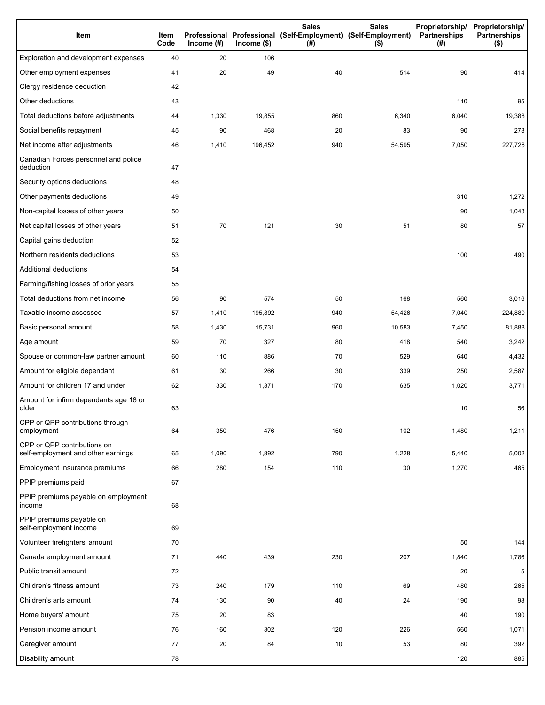| Item                                                              | Item<br>Code | Income $(\#)$ | $lncome$ (\$) | <b>Sales</b><br>Professional Professional (Self-Employment) (Self-Employment)<br>(#) | <b>Sales</b><br>$($ \$) | Proprietorship/<br>Partnerships<br>(#) | Proprietorship/<br><b>Partnerships</b><br>$($ \$) |
|-------------------------------------------------------------------|--------------|---------------|---------------|--------------------------------------------------------------------------------------|-------------------------|----------------------------------------|---------------------------------------------------|
| Exploration and development expenses                              | 40           | 20            | 106           |                                                                                      |                         |                                        |                                                   |
| Other employment expenses                                         | 41           | 20            | 49            | 40                                                                                   | 514                     | 90                                     | 414                                               |
| Clergy residence deduction                                        | 42           |               |               |                                                                                      |                         |                                        |                                                   |
| Other deductions                                                  | 43           |               |               |                                                                                      |                         | 110                                    | 95                                                |
| Total deductions before adjustments                               | 44           | 1,330         | 19,855        | 860                                                                                  | 6,340                   | 6,040                                  | 19,388                                            |
| Social benefits repayment                                         | 45           | 90            | 468           | 20                                                                                   | 83                      | 90                                     | 278                                               |
| Net income after adjustments                                      | 46           | 1,410         | 196,452       | 940                                                                                  | 54,595                  | 7,050                                  | 227,726                                           |
| Canadian Forces personnel and police<br>deduction                 | 47           |               |               |                                                                                      |                         |                                        |                                                   |
| Security options deductions                                       | 48           |               |               |                                                                                      |                         |                                        |                                                   |
| Other payments deductions                                         | 49           |               |               |                                                                                      |                         | 310                                    | 1,272                                             |
| Non-capital losses of other years                                 | 50           |               |               |                                                                                      |                         | 90                                     | 1,043                                             |
| Net capital losses of other years                                 | 51           | 70            | 121           | 30                                                                                   | 51                      | 80                                     | 57                                                |
| Capital gains deduction                                           | 52           |               |               |                                                                                      |                         |                                        |                                                   |
| Northern residents deductions                                     | 53           |               |               |                                                                                      |                         | 100                                    | 490                                               |
| Additional deductions                                             | 54           |               |               |                                                                                      |                         |                                        |                                                   |
| Farming/fishing losses of prior years                             | 55           |               |               |                                                                                      |                         |                                        |                                                   |
| Total deductions from net income                                  | 56           | 90            | 574           | 50                                                                                   | 168                     | 560                                    | 3,016                                             |
| Taxable income assessed                                           | 57           | 1,410         | 195,892       | 940                                                                                  | 54,426                  | 7,040                                  | 224,880                                           |
| Basic personal amount                                             | 58           | 1,430         | 15,731        | 960                                                                                  | 10,583                  | 7,450                                  | 81,888                                            |
| Age amount                                                        | 59           | 70            | 327           | 80                                                                                   | 418                     | 540                                    | 3,242                                             |
| Spouse or common-law partner amount                               | 60           | 110           | 886           | 70                                                                                   | 529                     | 640                                    | 4,432                                             |
| Amount for eligible dependant                                     | 61           | 30            | 266           | 30                                                                                   | 339                     | 250                                    | 2,587                                             |
| Amount for children 17 and under                                  | 62           | 330           | 1,371         | 170                                                                                  | 635                     | 1,020                                  | 3,771                                             |
| Amount for infirm dependants age 18 or<br>older                   | 63           |               |               |                                                                                      |                         | 10                                     | 56                                                |
| CPP or QPP contributions through<br>employment                    | 64           | 350           | 476           | 150                                                                                  | 102                     | 1,480                                  | 1,211                                             |
| CPP or QPP contributions on<br>self-employment and other earnings | 65           | 1,090         | 1,892         | 790                                                                                  | 1,228                   | 5,440                                  | 5,002                                             |
| Employment Insurance premiums                                     | 66           | 280           | 154           | 110                                                                                  | 30                      | 1,270                                  | 465                                               |
| PPIP premiums paid                                                | 67           |               |               |                                                                                      |                         |                                        |                                                   |
| PPIP premiums payable on employment<br>income                     | 68           |               |               |                                                                                      |                         |                                        |                                                   |
| PPIP premiums payable on<br>self-employment income                | 69           |               |               |                                                                                      |                         |                                        |                                                   |
| Volunteer firefighters' amount                                    | 70           |               |               |                                                                                      |                         | 50                                     | 144                                               |
| Canada employment amount                                          | 71           | 440           | 439           | 230                                                                                  | 207                     | 1,840                                  | 1,786                                             |
| Public transit amount                                             | 72           |               |               |                                                                                      |                         | 20                                     | 5                                                 |
| Children's fitness amount                                         | 73           | 240           | 179           | 110                                                                                  | 69                      | 480                                    | 265                                               |
| Children's arts amount                                            | 74           | 130           | 90            | 40                                                                                   | 24                      | 190                                    | 98                                                |
| Home buyers' amount                                               | 75           | 20            | 83            |                                                                                      |                         | 40                                     | 190                                               |
| Pension income amount                                             | 76           | 160           | 302           | 120                                                                                  | 226                     | 560                                    | 1,071                                             |
| Caregiver amount                                                  | 77           | 20            | 84            | 10                                                                                   | 53                      | 80                                     | 392                                               |
| Disability amount                                                 | 78           |               |               |                                                                                      |                         | 120                                    | 885                                               |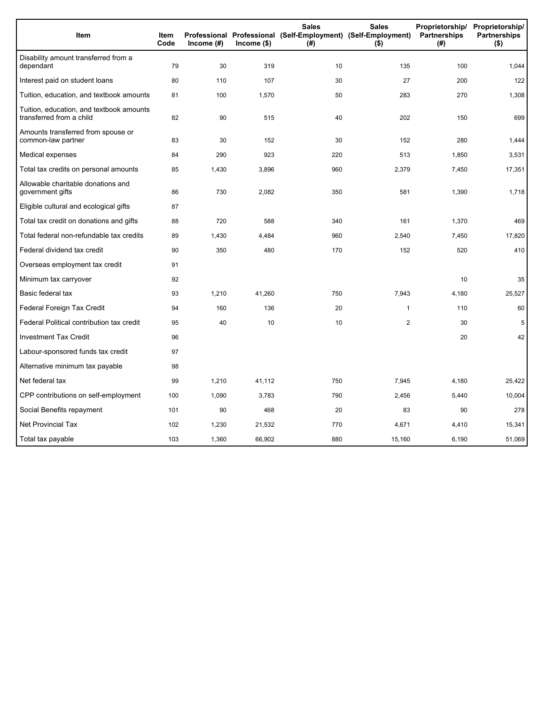| Item                                                                 | Item<br>Code | Income (#) | $Income$ (\$) | <b>Sales</b><br>(#) | <b>Sales</b><br>Proprietorship/<br>Professional Professional (Self-Employment) (Self-Employment)<br>Partnerships<br>$($ \$) |       | Proprietorship/<br><b>Partnerships</b><br>$($ \$) |
|----------------------------------------------------------------------|--------------|------------|---------------|---------------------|-----------------------------------------------------------------------------------------------------------------------------|-------|---------------------------------------------------|
| Disability amount transferred from a<br>dependant                    | 79           | 30         | 319           | 10                  | 135                                                                                                                         | 100   | 1,044                                             |
| Interest paid on student loans                                       | 80           | 110        | 107           | 30                  | 27                                                                                                                          | 200   | 122                                               |
| Tuition, education, and textbook amounts                             | 81           | 100        | 1,570         | 50                  | 283                                                                                                                         | 270   | 1,308                                             |
| Tuition, education, and textbook amounts<br>transferred from a child | 82           | 90         | 515           | 40                  | 202                                                                                                                         | 150   | 699                                               |
| Amounts transferred from spouse or<br>common-law partner             | 83           | 30         | 152           | 30                  | 152                                                                                                                         | 280   | 1,444                                             |
| Medical expenses                                                     | 84           | 290        | 923           | 220                 | 513                                                                                                                         | 1,850 | 3,531                                             |
| Total tax credits on personal amounts                                | 85           | 1,430      | 3,896         | 960                 | 2,379                                                                                                                       | 7,450 | 17,351                                            |
| Allowable charitable donations and<br>government gifts               | 86           | 730        | 2,082         | 350                 | 581                                                                                                                         | 1,390 | 1,718                                             |
| Eligible cultural and ecological gifts                               | 87           |            |               |                     |                                                                                                                             |       |                                                   |
| Total tax credit on donations and gifts                              | 88           | 720        | 588           | 340                 | 161                                                                                                                         | 1,370 | 469                                               |
| Total federal non-refundable tax credits                             | 89           | 1,430      | 4,484         | 960                 | 2,540                                                                                                                       | 7,450 | 17,820                                            |
| Federal dividend tax credit                                          | 90           | 350        | 480           | 170                 | 152                                                                                                                         | 520   | 410                                               |
| Overseas employment tax credit                                       | 91           |            |               |                     |                                                                                                                             |       |                                                   |
| Minimum tax carryover                                                | 92           |            |               |                     |                                                                                                                             | 10    | 35                                                |
| Basic federal tax                                                    | 93           | 1,210      | 41,260        | 750                 | 7,943                                                                                                                       | 4,180 | 25,527                                            |
| Federal Foreign Tax Credit                                           | 94           | 160        | 136           | 20                  | $\mathbf{1}$                                                                                                                | 110   | 60                                                |
| Federal Political contribution tax credit                            | 95           | 40         | 10            | 10                  | $\mathbf{2}$                                                                                                                | 30    | 5                                                 |
| <b>Investment Tax Credit</b>                                         | 96           |            |               |                     |                                                                                                                             | 20    | 42                                                |
| Labour-sponsored funds tax credit                                    | 97           |            |               |                     |                                                                                                                             |       |                                                   |
| Alternative minimum tax payable                                      | 98           |            |               |                     |                                                                                                                             |       |                                                   |
| Net federal tax                                                      | 99           | 1,210      | 41,112        | 750                 | 7,945                                                                                                                       | 4,180 | 25,422                                            |
| CPP contributions on self-employment                                 | 100          | 1,090      | 3,783         | 790                 | 2,456                                                                                                                       | 5,440 | 10,004                                            |
| Social Benefits repayment                                            | 101          | 90         | 468           | 20                  | 83                                                                                                                          | 90    | 278                                               |
| <b>Net Provincial Tax</b>                                            | 102          | 1,230      | 21,532        | 770                 | 4,671                                                                                                                       | 4,410 | 15,341                                            |
| Total tax payable                                                    | 103          | 1,360      | 66,902        | 880                 | 15,160                                                                                                                      | 6,190 | 51,069                                            |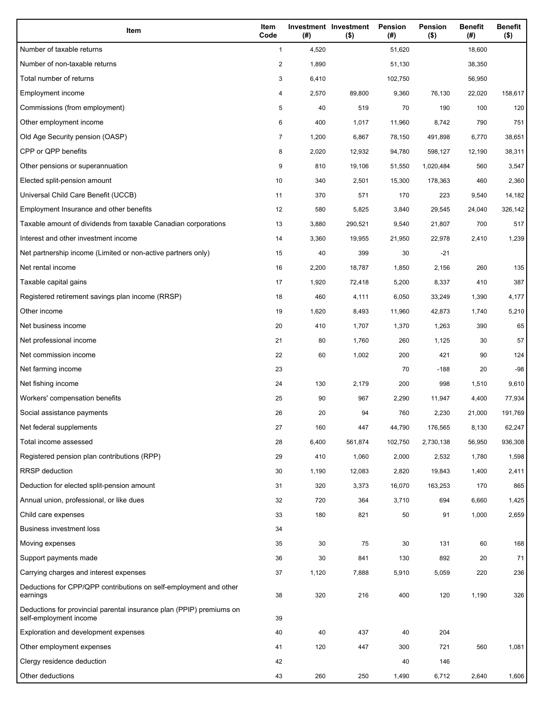| Item                                                                                           | Item<br>Code   | (# )  | Investment Investment<br>$($ \$) | Pension<br>(#) | <b>Pension</b><br>$($ \$) | <b>Benefit</b><br>(#) | <b>Benefit</b><br>$($ \$) |
|------------------------------------------------------------------------------------------------|----------------|-------|----------------------------------|----------------|---------------------------|-----------------------|---------------------------|
| Number of taxable returns                                                                      | $\mathbf{1}$   | 4,520 |                                  | 51,620         |                           | 18,600                |                           |
| Number of non-taxable returns                                                                  | $\overline{2}$ | 1,890 |                                  | 51,130         |                           | 38,350                |                           |
| Total number of returns                                                                        | 3              | 6,410 |                                  | 102,750        |                           | 56,950                |                           |
| Employment income                                                                              | 4              | 2,570 | 89,800                           | 9,360          | 76,130                    | 22,020                | 158,617                   |
| Commissions (from employment)                                                                  | 5              | 40    | 519                              | 70             | 190                       | 100                   | 120                       |
| Other employment income                                                                        | 6              | 400   | 1,017                            | 11,960         | 8,742                     | 790                   | 751                       |
| Old Age Security pension (OASP)                                                                | 7              | 1,200 | 6,867                            | 78,150         | 491,898                   | 6,770                 | 38,651                    |
| CPP or QPP benefits                                                                            | 8              | 2,020 | 12,932                           | 94,780         | 598,127                   | 12,190                | 38,311                    |
| Other pensions or superannuation                                                               | 9              | 810   | 19,106                           | 51,550         | 1,020,484                 | 560                   | 3,547                     |
| Elected split-pension amount                                                                   | 10             | 340   | 2,501                            | 15,300         | 178,363                   | 460                   | 2,360                     |
| Universal Child Care Benefit (UCCB)                                                            | 11             | 370   | 571                              | 170            | 223                       | 9,540                 | 14,182                    |
| Employment Insurance and other benefits                                                        | 12             | 580   | 5,825                            | 3,840          | 29,545                    | 24,040                | 326,142                   |
| Taxable amount of dividends from taxable Canadian corporations                                 | 13             | 3,880 | 290,521                          | 9,540          | 21,807                    | 700                   | 517                       |
| Interest and other investment income                                                           | 14             | 3,360 | 19,955                           | 21,950         | 22,978                    | 2,410                 | 1,239                     |
| Net partnership income (Limited or non-active partners only)                                   | 15             | 40    | 399                              | 30             | $-21$                     |                       |                           |
| Net rental income                                                                              | 16             | 2,200 | 18,787                           | 1,850          | 2,156                     | 260                   | 135                       |
| Taxable capital gains                                                                          | 17             | 1,920 | 72,418                           | 5,200          | 8,337                     | 410                   | 387                       |
| Registered retirement savings plan income (RRSP)                                               | 18             | 460   | 4,111                            | 6,050          | 33,249                    | 1,390                 | 4,177                     |
| Other income                                                                                   | 19             | 1,620 | 8,493                            | 11,960         | 42,873                    | 1,740                 | 5,210                     |
| Net business income                                                                            | 20             | 410   | 1,707                            | 1,370          | 1,263                     | 390                   | 65                        |
| Net professional income                                                                        | 21             | 80    | 1,760                            | 260            | 1,125                     | 30                    | 57                        |
| Net commission income                                                                          | 22             | 60    | 1,002                            | 200            | 421                       | 90                    | 124                       |
| Net farming income                                                                             | 23             |       |                                  | 70             | $-188$                    | 20                    | $-98$                     |
| Net fishing income                                                                             | 24             | 130   | 2,179                            | 200            | 998                       | 1,510                 | 9,610                     |
| Workers' compensation benefits                                                                 | 25             | 90    | 967                              | 2,290          | 11,947                    | 4,400                 | 77,934                    |
| Social assistance payments                                                                     | 26             | 20    | 94                               | 760            | 2,230                     | 21,000                | 191,769                   |
| Net federal supplements                                                                        | 27             | 160   | 447                              | 44,790         | 176,565                   | 8,130                 | 62,247                    |
| Total income assessed                                                                          | 28             | 6,400 | 561,874                          | 102,750        | 2,730,138                 | 56,950                | 936,308                   |
| Registered pension plan contributions (RPP)                                                    | 29             | 410   | 1,060                            | 2,000          | 2,532                     | 1,780                 | 1,598                     |
| <b>RRSP</b> deduction                                                                          | 30             | 1,190 | 12,083                           | 2,820          | 19,843                    | 1,400                 | 2,411                     |
| Deduction for elected split-pension amount                                                     | 31             | 320   | 3,373                            | 16,070         | 163,253                   | 170                   | 865                       |
| Annual union, professional, or like dues                                                       | 32             | 720   | 364                              | 3,710          | 694                       | 6,660                 | 1,425                     |
| Child care expenses                                                                            | 33             | 180   | 821                              | 50             | 91                        | 1,000                 | 2,659                     |
| <b>Business investment loss</b>                                                                | 34             |       |                                  |                |                           |                       |                           |
| Moving expenses                                                                                | 35             | 30    | 75                               | 30             | 131                       | 60                    | 168                       |
| Support payments made                                                                          | 36             | 30    | 841                              | 130            | 892                       | 20                    | 71                        |
| Carrying charges and interest expenses                                                         | 37             | 1,120 | 7,888                            | 5,910          | 5,059                     | 220                   | 236                       |
| Deductions for CPP/QPP contributions on self-employment and other<br>earnings                  | 38             | 320   | 216                              | 400            | 120                       | 1,190                 | 326                       |
| Deductions for provincial parental insurance plan (PPIP) premiums on<br>self-employment income | 39             |       |                                  |                |                           |                       |                           |
| Exploration and development expenses                                                           | 40             | 40    | 437                              | 40             | 204                       |                       |                           |
| Other employment expenses                                                                      | 41             | 120   | 447                              | 300            | 721                       | 560                   | 1,081                     |
| Clergy residence deduction                                                                     | 42             |       |                                  | 40             | 146                       |                       |                           |
| Other deductions                                                                               | 43             | 260   | 250                              | 1,490          | 6,712                     | 2,640                 | 1,606                     |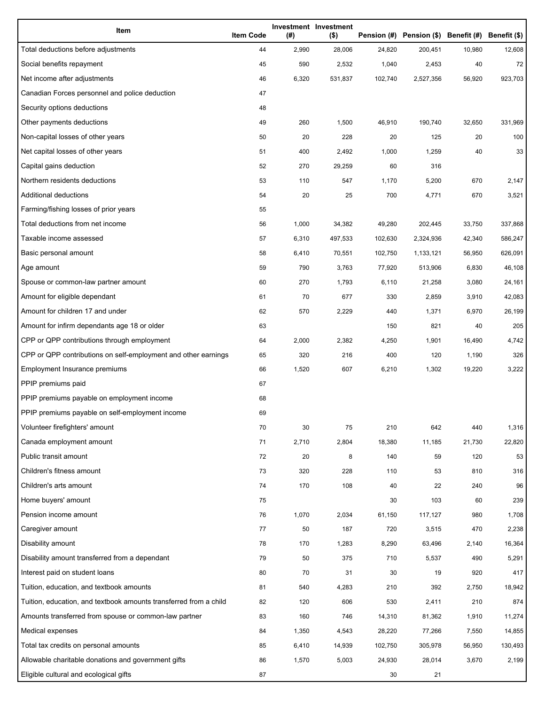| Item                                                              | <b>Item Code</b> | (#)   | Investment Investment<br>$($ \$) |         | Pension (#) Pension (\$) Benefit (#) Benefit (\$) |        |         |
|-------------------------------------------------------------------|------------------|-------|----------------------------------|---------|---------------------------------------------------|--------|---------|
| Total deductions before adjustments                               | 44               | 2,990 | 28,006                           | 24,820  | 200,451                                           | 10,980 | 12,608  |
| Social benefits repayment                                         | 45               | 590   | 2,532                            | 1,040   | 2,453                                             | 40     | 72      |
| Net income after adjustments                                      | 46               | 6,320 | 531,837                          | 102,740 | 2,527,356                                         | 56,920 | 923,703 |
| Canadian Forces personnel and police deduction                    | 47               |       |                                  |         |                                                   |        |         |
| Security options deductions                                       | 48               |       |                                  |         |                                                   |        |         |
| Other payments deductions                                         | 49               | 260   | 1,500                            | 46,910  | 190,740                                           | 32,650 | 331,969 |
| Non-capital losses of other years                                 | 50               | 20    | 228                              | 20      | 125                                               | 20     | 100     |
| Net capital losses of other years                                 | 51               | 400   | 2,492                            | 1,000   | 1,259                                             | 40     | 33      |
| Capital gains deduction                                           | 52               | 270   | 29,259                           | 60      | 316                                               |        |         |
| Northern residents deductions                                     | 53               | 110   | 547                              | 1,170   | 5,200                                             | 670    | 2,147   |
| Additional deductions                                             | 54               | 20    | 25                               | 700     | 4,771                                             | 670    | 3,521   |
| Farming/fishing losses of prior years                             | 55               |       |                                  |         |                                                   |        |         |
| Total deductions from net income                                  | 56               | 1,000 | 34,382                           | 49,280  | 202,445                                           | 33,750 | 337,868 |
| Taxable income assessed                                           | 57               | 6,310 | 497,533                          | 102,630 | 2,324,936                                         | 42,340 | 586,247 |
| Basic personal amount                                             | 58               | 6,410 | 70,551                           | 102,750 | 1,133,121                                         | 56,950 | 626,091 |
| Age amount                                                        | 59               | 790   | 3,763                            | 77,920  | 513,906                                           | 6,830  | 46,108  |
| Spouse or common-law partner amount                               | 60               | 270   | 1,793                            | 6,110   | 21,258                                            | 3,080  | 24,161  |
| Amount for eligible dependant                                     | 61               | 70    | 677                              | 330     | 2,859                                             | 3,910  | 42,083  |
| Amount for children 17 and under                                  | 62               | 570   | 2,229                            | 440     | 1,371                                             | 6,970  | 26,199  |
| Amount for infirm dependants age 18 or older                      | 63               |       |                                  | 150     | 821                                               | 40     | 205     |
| CPP or QPP contributions through employment                       | 64               | 2,000 | 2,382                            | 4,250   | 1,901                                             | 16,490 | 4,742   |
| CPP or QPP contributions on self-employment and other earnings    | 65               | 320   | 216                              | 400     | 120                                               | 1,190  | 326     |
| Employment Insurance premiums                                     | 66               | 1,520 | 607                              | 6,210   | 1,302                                             | 19,220 | 3,222   |
| PPIP premiums paid                                                | 67               |       |                                  |         |                                                   |        |         |
| PPIP premiums payable on employment income                        | 68               |       |                                  |         |                                                   |        |         |
| PPIP premiums payable on self-employment income                   | 69               |       |                                  |         |                                                   |        |         |
| Volunteer firefighters' amount                                    | 70               | 30    | 75                               | 210     | 642                                               | 440    | 1,316   |
| Canada employment amount                                          | 71               | 2,710 | 2,804                            | 18,380  | 11,185                                            | 21,730 | 22,820  |
| Public transit amount                                             | 72               | 20    | 8                                | 140     | 59                                                | 120    | 53      |
| Children's fitness amount                                         | 73               | 320   | 228                              | 110     | 53                                                | 810    | 316     |
| Children's arts amount                                            | 74               | 170   | 108                              | 40      | 22                                                | 240    | 96      |
| Home buyers' amount                                               | 75               |       |                                  | 30      | 103                                               | 60     | 239     |
| Pension income amount                                             | 76               | 1,070 | 2,034                            | 61,150  | 117,127                                           | 980    | 1,708   |
| Caregiver amount                                                  | 77               | 50    | 187                              | 720     | 3,515                                             | 470    | 2,238   |
| Disability amount                                                 | 78               | 170   | 1,283                            | 8,290   | 63,496                                            | 2,140  | 16,364  |
| Disability amount transferred from a dependant                    | 79               | 50    | 375                              | 710     | 5,537                                             | 490    | 5,291   |
| Interest paid on student loans                                    | 80               | 70    | 31                               | 30      | 19                                                | 920    | 417     |
| Tuition, education, and textbook amounts                          | 81               | 540   | 4,283                            | 210     | 392                                               | 2,750  | 18,942  |
| Tuition, education, and textbook amounts transferred from a child | 82               | 120   | 606                              | 530     | 2,411                                             | 210    | 874     |
| Amounts transferred from spouse or common-law partner             | 83               | 160   | 746                              | 14,310  | 81,362                                            | 1,910  | 11,274  |
| Medical expenses                                                  | 84               | 1,350 | 4,543                            | 28,220  | 77,266                                            | 7,550  | 14,855  |
| Total tax credits on personal amounts                             | 85               | 6,410 | 14,939                           | 102,750 | 305,978                                           | 56,950 | 130,493 |
| Allowable charitable donations and government gifts               | 86               | 1,570 | 5,003                            | 24,930  | 28,014                                            | 3,670  | 2,199   |
| Eligible cultural and ecological gifts                            | 87               |       |                                  | 30      | 21                                                |        |         |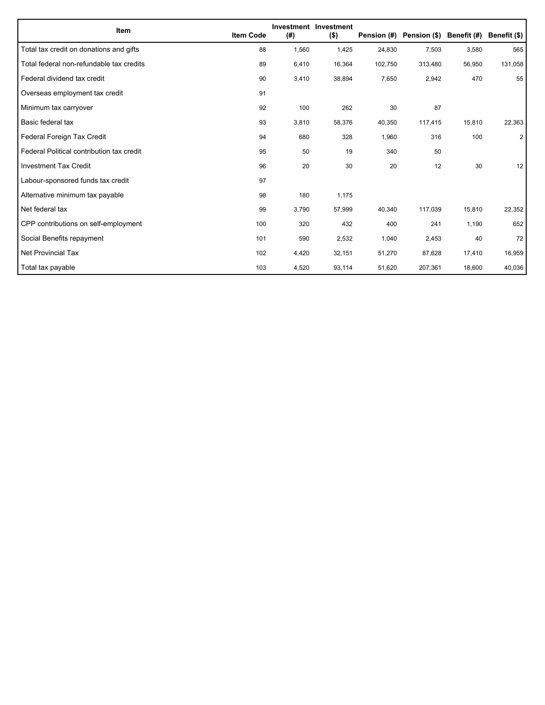| Item                                      | <b>Item Code</b> | (#)   | Investment Investment<br>$($ \$) | Pension (#) | Pension (\$) | Benefit (#) | Benefit (\$)   |
|-------------------------------------------|------------------|-------|----------------------------------|-------------|--------------|-------------|----------------|
| Total tax credit on donations and gifts   | 88               | 1,560 | 1,425                            | 24,830      | 7,503        | 3,580       | 565            |
| Total federal non-refundable tax credits  | 89               | 6,410 | 16,364                           | 102,750     | 313,480      | 56,950      | 131,058        |
| Federal dividend tax credit               | 90               | 3,410 | 38,894                           | 7,650       | 2,942        | 470         | 55             |
| Overseas employment tax credit            | 91               |       |                                  |             |              |             |                |
| Minimum tax carryover                     | 92               | 100   | 262                              | 30          | 87           |             |                |
| Basic federal tax                         | 93               | 3,810 | 58,376                           | 40,350      | 117,415      | 15,810      | 22,363         |
| Federal Foreign Tax Credit                | 94               | 680   | 328                              | 1,960       | 316          | 100         | $\overline{2}$ |
| Federal Political contribution tax credit | 95               | 50    | 19                               | 340         | 50           |             |                |
| <b>Investment Tax Credit</b>              | 96               | 20    | 30                               | 20          | 12           | 30          | 12             |
| Labour-sponsored funds tax credit         | 97               |       |                                  |             |              |             |                |
| Alternative minimum tax payable           | 98               | 180   | 1,175                            |             |              |             |                |
| Net federal tax                           | 99               | 3,790 | 57,999                           | 40,340      | 117,039      | 15,810      | 22,352         |
| CPP contributions on self-employment      | 100              | 320   | 432                              | 400         | 241          | 1,190       | 652            |
| Social Benefits repayment                 | 101              | 590   | 2,532                            | 1,040       | 2,453        | 40          | 72             |
| Net Provincial Tax                        | 102              | 4,420 | 32,151                           | 51,270      | 87,628       | 17,410      | 16,959         |
| Total tax payable                         | 103              | 4,520 | 93,114                           | 51,620      | 207,361      | 18,600      | 40,036         |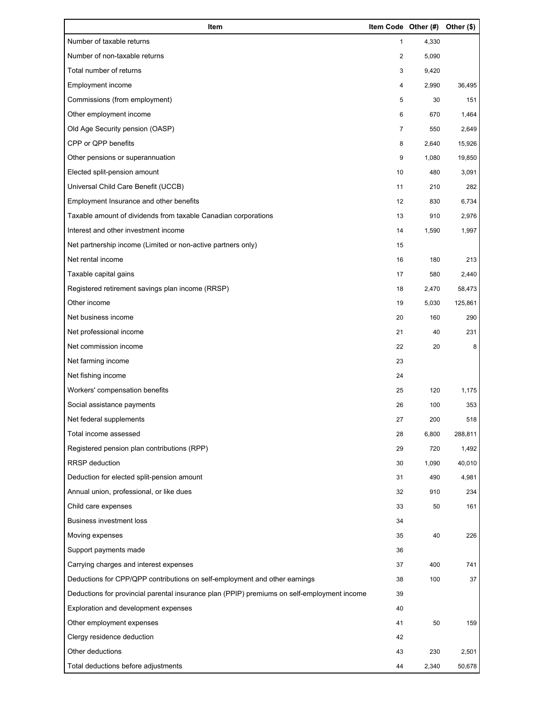| Item                                                                                        |                | Item Code Other (#) Other (\$) |         |
|---------------------------------------------------------------------------------------------|----------------|--------------------------------|---------|
| Number of taxable returns                                                                   | $\mathbf{1}$   | 4,330                          |         |
| Number of non-taxable returns                                                               | $\overline{2}$ | 5,090                          |         |
| Total number of returns                                                                     | 3              | 9,420                          |         |
| Employment income                                                                           | 4              | 2,990                          | 36,495  |
| Commissions (from employment)                                                               | 5              | 30                             | 151     |
| Other employment income                                                                     | 6              | 670                            | 1,464   |
| Old Age Security pension (OASP)                                                             | $\overline{7}$ | 550                            | 2,649   |
| CPP or QPP benefits                                                                         | 8              | 2,640                          | 15,926  |
| Other pensions or superannuation                                                            | 9              | 1,080                          | 19,850  |
| Elected split-pension amount                                                                | 10             | 480                            | 3,091   |
| Universal Child Care Benefit (UCCB)                                                         | 11             | 210                            | 282     |
| Employment Insurance and other benefits                                                     | 12             | 830                            | 6,734   |
| Taxable amount of dividends from taxable Canadian corporations                              | 13             | 910                            | 2,976   |
| Interest and other investment income                                                        | 14             | 1,590                          | 1,997   |
| Net partnership income (Limited or non-active partners only)                                | 15             |                                |         |
| Net rental income                                                                           | 16             | 180                            | 213     |
| Taxable capital gains                                                                       | 17             | 580                            | 2,440   |
| Registered retirement savings plan income (RRSP)                                            | 18             | 2,470                          | 58,473  |
| Other income                                                                                | 19             | 5,030                          | 125,861 |
| Net business income                                                                         | 20             | 160                            | 290     |
| Net professional income                                                                     | 21             | 40                             | 231     |
| Net commission income                                                                       | 22             | 20                             | 8       |
| Net farming income                                                                          | 23             |                                |         |
| Net fishing income                                                                          | 24             |                                |         |
| Workers' compensation benefits                                                              | 25             | 120                            | 1,175   |
| Social assistance payments                                                                  | 26             | 100                            | 353     |
| Net federal supplements                                                                     | 27             | 200                            | 518     |
| Total income assessed                                                                       | 28             | 6,800                          | 288,811 |
| Registered pension plan contributions (RPP)                                                 | 29             | 720                            | 1,492   |
| RRSP deduction                                                                              | 30             | 1,090                          | 40,010  |
| Deduction for elected split-pension amount                                                  | 31             | 490                            | 4,981   |
| Annual union, professional, or like dues                                                    | 32             | 910                            | 234     |
| Child care expenses                                                                         | 33             | 50                             | 161     |
| <b>Business investment loss</b>                                                             | 34             |                                |         |
| Moving expenses                                                                             | 35             | 40                             | 226     |
| Support payments made                                                                       | 36             |                                |         |
| Carrying charges and interest expenses                                                      | 37             | 400                            | 741     |
| Deductions for CPP/QPP contributions on self-employment and other earnings                  | 38             | 100                            | 37      |
| Deductions for provincial parental insurance plan (PPIP) premiums on self-employment income | 39             |                                |         |
| Exploration and development expenses                                                        | 40             |                                |         |
| Other employment expenses                                                                   | 41             | 50                             | 159     |
| Clergy residence deduction                                                                  | 42             |                                |         |
| Other deductions                                                                            | 43             | 230                            | 2,501   |
| Total deductions before adjustments                                                         | 44             | 2,340                          | 50,678  |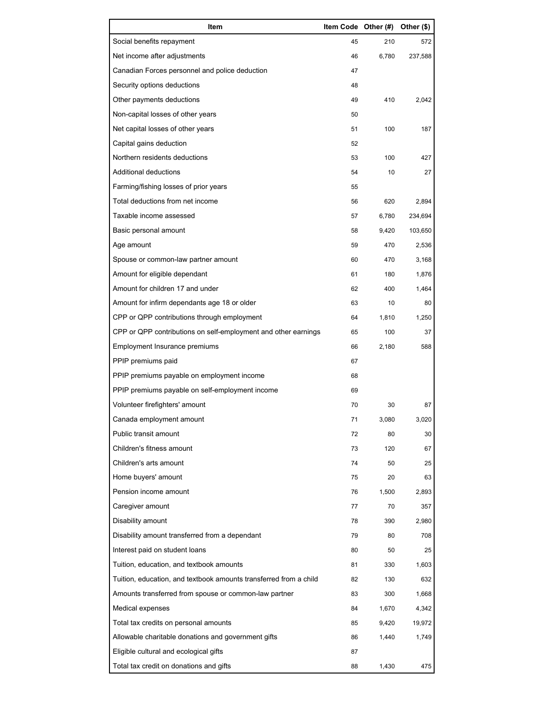| Item                                                              | Item Code Other (#) |       | Other (\$) |
|-------------------------------------------------------------------|---------------------|-------|------------|
| Social benefits repayment                                         | 45                  | 210   | 572        |
| Net income after adjustments                                      | 46                  | 6,780 | 237,588    |
| Canadian Forces personnel and police deduction                    | 47                  |       |            |
| Security options deductions                                       | 48                  |       |            |
| Other payments deductions                                         | 49                  | 410   | 2,042      |
| Non-capital losses of other years                                 | 50                  |       |            |
| Net capital losses of other years                                 | 51                  | 100   | 187        |
| Capital gains deduction                                           | 52                  |       |            |
| Northern residents deductions                                     | 53                  | 100   | 427        |
| Additional deductions                                             | 54                  | 10    | 27         |
| Farming/fishing losses of prior years                             | 55                  |       |            |
| Total deductions from net income                                  | 56                  | 620   | 2,894      |
| Taxable income assessed                                           | 57                  | 6,780 | 234,694    |
| Basic personal amount                                             | 58                  | 9,420 | 103,650    |
| Age amount                                                        | 59                  | 470   | 2,536      |
| Spouse or common-law partner amount                               | 60                  | 470   | 3,168      |
| Amount for eligible dependant                                     | 61                  | 180   | 1,876      |
| Amount for children 17 and under                                  | 62                  | 400   | 1,464      |
| Amount for infirm dependants age 18 or older                      | 63                  | 10    | 80         |
| CPP or QPP contributions through employment                       | 64                  | 1,810 | 1,250      |
| CPP or QPP contributions on self-employment and other earnings    | 65                  | 100   | 37         |
| Employment Insurance premiums                                     | 66                  | 2,180 | 588        |
| PPIP premiums paid                                                | 67                  |       |            |
| PPIP premiums payable on employment income                        | 68                  |       |            |
| PPIP premiums payable on self-employment income                   | 69                  |       |            |
| Volunteer firefighters' amount                                    | 70                  | 30    | 87         |
| Canada employment amount                                          | 71                  | 3,080 | 3,020      |
| Public transit amount                                             | 72                  | 80    | 30         |
| Children's fitness amount                                         | 73                  | 120   | 67         |
| Children's arts amount                                            | 74                  | 50    | 25         |
| Home buyers' amount                                               | 75                  | 20    | 63         |
| Pension income amount                                             | 76                  | 1,500 | 2,893      |
| Caregiver amount                                                  | 77                  | 70    | 357        |
| Disability amount                                                 | 78                  | 390   | 2,980      |
| Disability amount transferred from a dependant                    | 79                  | 80    | 708        |
| Interest paid on student loans                                    | 80                  | 50    | 25         |
| Tuition, education, and textbook amounts                          | 81                  | 330   | 1,603      |
| Tuition, education, and textbook amounts transferred from a child | 82                  | 130   | 632        |
| Amounts transferred from spouse or common-law partner             | 83                  | 300   | 1,668      |
| Medical expenses                                                  | 84                  | 1,670 | 4,342      |
| Total tax credits on personal amounts                             | 85                  | 9,420 | 19,972     |
| Allowable charitable donations and government gifts               | 86                  | 1,440 | 1,749      |
| Eligible cultural and ecological gifts                            | 87                  |       |            |
| Total tax credit on donations and gifts                           | 88                  | 1,430 | 475        |